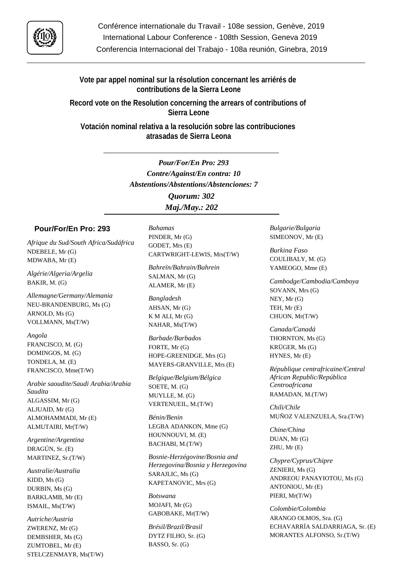

**Vote par appel nominal sur la résolution concernant les arriérés de contributions de la Sierra Leone**

**Record vote on the Resolution concerning the arrears of contributions of Sierra Leone**

**Votación nominal relativa a la resolución sobre las contribuciones atrasadas de Sierra Leona**

> *Pour/For/En Pro: 293 Contre/Against/En contra: 10 Abstentions/Abstentions/Abstenciones: 7*

> > *Quorum: 302 Maj./May.: 202*

## **Pour/For/En Pro: 293**

*Afrique du Sud/South Africa/Sudáfrica* NDEBELE, Mr (G) MDWABA, Mr (E)

*Algérie/Algeria/Argelia* BAKIR, M. (G)

*Allemagne/Germany/Alemania* NEU-BRANDENBURG, Ms (G) ARNOLD, Ms (G) VOLLMANN, Ms(T/W)

*Angola* FRANCISCO, M. (G) DOMINGOS, M. (G) TONDELA, M. (E) FRANCISCO, Mme(T/W)

*Arabie saoudite/Saudi Arabia/Arabia Saudita* ALGASSIM, Mr (G) ALJUAID, Mr (G) ALMOHAMMADI, Mr (E) ALMUTAIRI, Mr(T/W)

*Argentine/Argentina* DRAGÚN, Sr. (E) MARTINEZ, Sr.(T/W)

*Australie/Australia* KIDD, Ms (G) DURBIN, Ms (G) BARKLAMB, Mr (E) ISMAIL, Ms(T/W)

*Autriche/Austria* ZWERENZ, Mr (G) DEMBSHER, Ms (G) ZUMTOBEL, Mr (E) STELCZENMAYR, Ms(T/W) *Bahamas* PINDER, Mr (G) GODET, Mrs (E) CARTWRIGHT-LEWIS, Mrs(T/W)

*Bahreïn/Bahrain/Bahrein* SALMAN, Mr (G) ALAMER, Mr (E)

*Bangladesh* AHSAN, Mr (G) K M ALI, Mr (G) NAHAR, Ms(T/W)

*Barbade/Barbados* FORTE, Mr (G) HOPE-GREENIDGE, Mrs (G) MAYERS-GRANVILLE, Mrs (E)

*Belgique/Belgium/Bélgica* SOETE, M. (G) MUYLLE, M. (G) VERTENUEIL, M.(T/W)

*Bénin/Benin* LEGBA ADANKON, Mme (G) HOUNNOUVI, M. (E) BACHABI, M.(T/W)

*Bosnie-Herzégovine/Bosnia and Herzegovina/Bosnia y Herzegovina* SARAJLIC, Ms (G) KAPETANOVIC, Mrs (G)

*Botswana* MOJAFI, Mr (G) GABOBAKE, Mr(T/W)

*Brésil/Brazil/Brasil* DYTZ FILHO, Sr. (G) BASSO, Sr. (G)

*Bulgarie/Bulgaria* SIMEONOV, Mr (E)

*Burkina Faso* COULIBALY, M. (G) YAMEOGO, Mme (E)

*Cambodge/Cambodia/Camboya* SOVANN, Mrs (G) NEY, Mr (G) TEH, Mr (E) CHUON, Mr(T/W)

*Canada/Canadá* THORNTON, Ms (G) KRÜGER, Ms (G) HYNES, Mr (E)

*République centrafricaine/Central African Republic/República Centroafricana* RAMADAN, M.(T/W)

*Chili/Chile* MUÑOZ VALENZUELA, Sra.(T/W)

*Chine/China* DUAN, Mr (G) ZHU, Mr (E)

*Chypre/Cyprus/Chipre* ZENIERI, Ms (G) ANDREOU PANAYIOTOU, Ms (G) ANTONIOU, Mr (E) PIERI, Mr(T/W)

*Colombie/Colombia* ARANGO OLMOS, Sra. (G) ECHAVARRÍA SALDARRIAGA, Sr. (E) MORANTES ALFONSO, Sr.(T/W)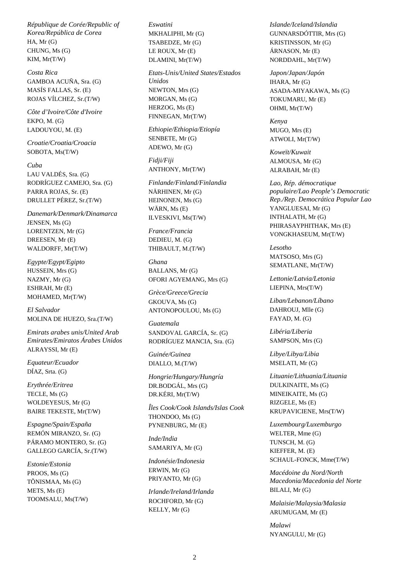*République de Corée/Republic of Korea/República de Corea* HA, Mr (G) CHUNG, Ms (G) KIM, Mr(T/W)

*Costa Rica* GAMBOA ACUÑA, Sra. (G) MASÍS FALLAS, Sr. (E) ROJAS VÍLCHEZ, Sr.(T/W)

*Côte d'Ivoire/Côte d'Ivoire* EKPO, M. (G) LADOUYOU, M. (E)

*Croatie/Croatia/Croacia* SOBOTA, Ms(T/W)

## *Cuba*

LAU VALDÉS, Sra. (G) RODRÍGUEZ CAMEJO, Sra. (G) PARRA ROJAS, Sr. (E) DRULLET PÉREZ, Sr.(T/W)

*Danemark/Denmark/Dinamarca* JENSEN, Ms (G) LORENTZEN, Mr (G) DREESEN, Mr (E) WALDORFF, Mr(T/W)

*Egypte/Egypt/Egipto* HUSSEIN, Mrs (G) NAZMY, Mr (G) ESHRAH, Mr (E) MOHAMED, Mr(T/W)

*El Salvador* MOLINA DE HUEZO, Sra.(T/W)

*Emirats arabes unis/United Arab Emirates/Emiratos Árabes Unidos* ALRAYSSI, Mr (E)

*Equateur/Ecuador* DÍAZ, Srta. (G)

*Erythrée/Eritrea* TECLE, Ms (G) WOLDEYESUS, Mr (G) BAIRE TEKESTE, Mr(T/W)

*Espagne/Spain/España* REMÓN MIRANZO, Sr. (G) PÁRAMO MONTERO, Sr. (G) GALLEGO GARCÍA, Sr.(T/W)

*Estonie/Estonia* PROOS, Ms (G) TÕNISMAA, Ms (G) METS, Ms (E) TOOMSALU, Ms(T/W) *Eswatini* MKHALIPHI, Mr (G) TSABEDZE, Mr (G) LE ROUX, Mr (E) DLAMINI, Mr(T/W)

*Etats-Unis/United States/Estados Unidos* NEWTON, Mrs (G) MORGAN, Ms (G) HERZOG, Ms (E) FINNEGAN, Mr(T/W)

*Ethiopie/Ethiopia/Etiopía* SENBETE, Mr (G) ADEWO, Mr (G)

*Fidji/Fiji* ANTHONY, Mr(T/W)

*Finlande/Finland/Finlandia* NÄRHINEN, Mr (G) HEINONEN, Ms (G) WÄRN, Ms (E) ILVESKIVI, Ms(T/W)

*France/Francia* DEDIEU, M. (G) THIBAULT, M.(T/W)

*Ghana* BALLANS, Mr (G) OFORI AGYEMANG, Mrs (G)

*Grèce/Greece/Grecia* GKOUVA, Ms (G) ANTONOPOULOU, Ms (G)

*Guatemala* SANDOVAL GARCÍA, Sr. (G) RODRÍGUEZ MANCIA, Sra. (G)

*Guinée/Guinea* DIALLO, M.(T/W)

*Hongrie/Hungary/Hungría* DR.BODGÁL, Mrs (G) DR.KÉRI, Mr(T/W)

*Îles Cook/Cook Islands/Islas Cook* THONDOO, Ms (G) PYNENBURG, Mr (E)

*Inde/India* SAMARIYA, Mr (G)

*Indonésie/Indonesia* ERWIN, Mr (G) PRIYANTO, Mr (G)

*Irlande/Ireland/Irlanda* ROCHFORD, Mr (G) KELLY, Mr (G)

*Islande/Iceland/Islandia* GUNNARSDÓTTIR, Mrs (G) KRISTINSSON, Mr (G) ÁRNASON, Mr (E) NORDDAHL, Mr(T/W)

*Japon/Japan/Japón* IHARA, Mr (G) ASADA-MIYAKAWA, Ms (G) TOKUMARU, Mr (E) OHMI, Mr(T/W)

*Kenya* MUGO, Mrs (E) ATWOLI, Mr(T/W)

*Koweït/Kuwait* ALMOUSA, Mr (G) ALRABAH, Mr (E)

*Lao, Rép. démocratique populaire/Lao People's Democratic Rep./Rep. Democrática Popular Lao* YANGLUESAI, Mr (G) INTHALATH, Mr (G) PHIRASAYPHITHAK, Mrs (E) VONGKHASEUM, Mr(T/W)

*Lesotho* MATSOSO, Mrs (G) SEMATLANE, Mr(T/W)

*Lettonie/Latvia/Letonia* LIEPINA, Mrs(T/W)

*Liban/Lebanon/Líbano* DAHROUJ, Mlle (G) FAYAD, M. (G)

*Libéria/Liberia* SAMPSON, Mrs (G)

*Libye/Libya/Libia* MSELATI, Mr (G)

*Lituanie/Lithuania/Lituania* DULKINAITE, Ms (G) MINEIKAITE, Ms (G) RIZGELE, Ms (E) KRUPAVICIENE, Mrs(T/W)

*Luxembourg/Luxemburgo* WELTER, Mme (G) TUNSCH, M. (G) KIEFFER, M. (E) SCHAUL-FONCK, Mme(T/W)

*Macédoine du Nord/North Macedonia/Macedonia del Norte* BILALI, Mr (G)

*Malaisie/Malaysia/Malasia* ARUMUGAM, Mr (E)

*Malawi* NYANGULU, Mr (G)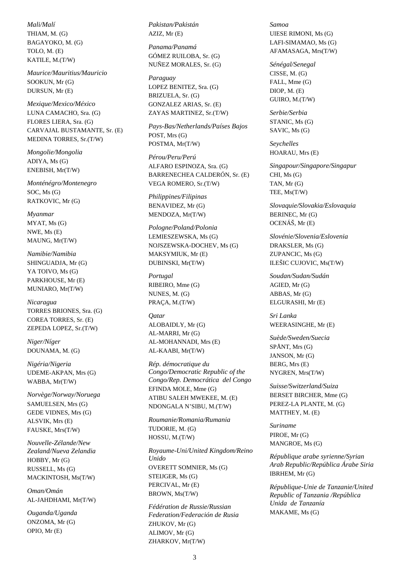*Mali/Malí* THIAM, M. (G) BAGAYOKO, M. (G) TOLO, M. (E) KATILE, M.(T/W)

*Maurice/Mauritius/Mauricio* SOOKUN, Mr (G) DURSUN, Mr (E)

*Mexique/Mexico/México* LUNA CAMACHO, Sra. (G) FLORES LIERA, Sra. (G) CARVAJAL BUSTAMANTE, Sr. (E) MEDINA TORRES, Sr.(T/W)

*Mongolie/Mongolia* ADIYA, Ms (G) ENEBISH, Mr(T/W)

*Monténégro/Montenegro* SOC, Ms (G) RATKOVIC, Mr (G)

*Myanmar* MYAT, Ms (G) NWE, Ms (E) MAUNG, Mr(T/W)

*Namibie/Namibia* SHINGUADJA, Mr (G) YA TOIVO, Ms (G) PARKHOUSE, Mr (E) MUNIARO, Mr(T/W)

*Nicaragua* TORRES BRIONES, Sra. (G) COREA TORRES, Sr. (E) ZEPEDA LOPEZ, Sr.(T/W)

*Niger/Níger* DOUNAMA, M. (G)

*Nigéria/Nigeria* UDEME-AKPAN, Mrs (G) WABBA, Mr(T/W)

*Norvège/Norway/Noruega* SAMUELSEN, Mrs (G) GEDE VIDNES, Mrs (G) ALSVIK, Mrs (E) FAUSKE, Mrs(T/W)

*Nouvelle-Zélande/New Zealand/Nueva Zelandia* HOBBY, Mr (G) RUSSELL, Ms (G) MACKINTOSH, Ms(T/W)

*Oman/Omán* AL-JAHDHAMI, Mr(T/W)

*Ouganda/Uganda* ONZOMA, Mr (G) OPIO, Mr (E)

*Pakistan/Pakistán* AZIZ, Mr (E)

*Panama/Panamá* GÓMEZ RUILOBA, Sr. (G) NUÑEZ MORALES, Sr. (G)

*Paraguay* LOPEZ BENITEZ, Sra. (G) BRIZUELA, Sr. (G) GONZALEZ ARIAS, Sr. (E) ZAYAS MARTINEZ, Sr.(T/W)

*Pays-Bas/Netherlands/Países Bajos* POST, Mrs (G) POSTMA, Mr(T/W)

*Pérou/Peru/Perú* ALFARO ESPINOZA, Sra. (G) BARRENECHEA CALDERÓN, Sr. (E) VEGA ROMERO, Sr.(T/W)

*Philippines/Filipinas* BENAVIDEZ, Mr (G) MENDOZA, Mr(T/W)

*Pologne/Poland/Polonia* LEMIESZEWSKA, Ms (G) NOJSZEWSKA-DOCHEV, Ms (G) MAKSYMIUK, Mr (E) DUBINSKI, Mr(T/W)

*Portugal* RIBEIRO, Mme (G) NUNES, M. (G) PRAÇA, M.(T/W)

*Qatar* ALOBAIDLY, Mr (G) AL-MARRI, Mr (G) AL-MOHANNADI, Mrs (E) AL-KAABI, Mr(T/W)

*Rép. démocratique du Congo/Democratic Republic of the Congo/Rep. Democrática del Congo* EFINDA MOLE, Mme (G) ATIBU SALEH MWEKEE, M. (E) NDONGALA N'SIBU, M.(T/W)

*Roumanie/Romania/Rumania* TUDORIE, M. (G) HOSSU, M.(T/W)

*Royaume-Uni/United Kingdom/Reino Unido* OVERETT SOMNIER, Ms (G) STEIJGER, Ms (G) PERCIVAL, Mr (E) BROWN, Ms(T/W)

*Fédération de Russie/Russian Federation/Federación de Rusia* ZHUKOV, Mr (G) ALIMOV, Mr (G) ZHARKOV, Mr(T/W)

*Samoa* UIESE RIMONI, Ms (G) LAFI-SIMAMAO, Ms (G) AFAMASAGA, Mrs(T/W)

*Sénégal/Senegal* CISSE, M. (G) FALL, Mme (G) DIOP, M. (E) GUIRO, M.(T/W)

*Serbie/Serbia* STANIC, Ms (G) SAVIC, Ms (G)

*Seychelles* HOARAU, Mrs (E)

*Singapour/Singapore/Singapur* CHI, Ms (G) TAN, Mr (G) TEE, Ms(T/W)

*Slovaquie/Slovakia/Eslovaquia* BERINEC, Mr (G) OCENÁŠ, Mr (E)

*Slovénie/Slovenia/Eslovenia* DRAKSLER, Ms (G) ZUPANCIC, Ms (G) ILEŠIC CUJOVIC, Ms(T/W)

*Soudan/Sudan/Sudán* AGIED, Mr (G) ABBAS, Mr (G) ELGURASHI, Mr (E)

*Sri Lanka* WEERASINGHE, Mr (E)

*Suède/Sweden/Suecia* SPÅNT, Mrs (G) JANSON, Mr (G) BERG, Mrs (E) NYGREN, Mrs(T/W)

*Suisse/Switzerland/Suiza* BERSET BIRCHER, Mme (G) PEREZ-LA PLANTE, M. (G) MATTHEY, M. (E)

*Suriname* PIROE, Mr (G) MANGROE, Ms (G)

*République arabe syrienne/Syrian Arab Republic/República Árabe Siria* IBRHEM, Mr (G)

*République-Unie de Tanzanie/United Republic of Tanzania /República Unida de Tanzanía* MAKAME, Ms (G)